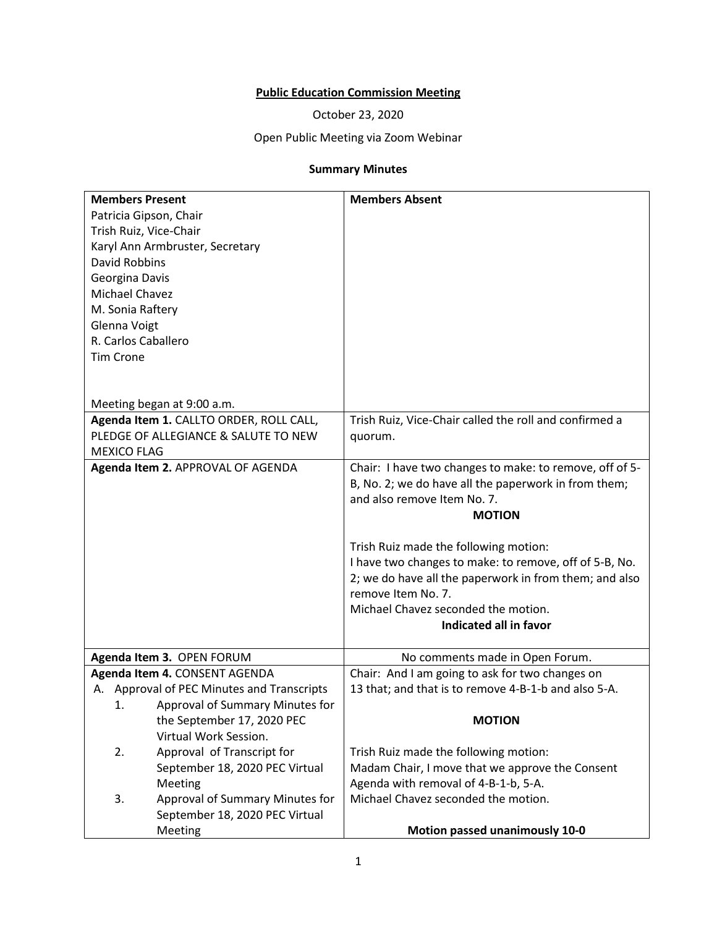## **Public Education Commission Meeting**

October 23, 2020

## Open Public Meeting via Zoom Webinar

## **Summary Minutes**

| <b>Members Present</b>                     | <b>Members Absent</b>                                   |
|--------------------------------------------|---------------------------------------------------------|
| Patricia Gipson, Chair                     |                                                         |
| Trish Ruiz, Vice-Chair                     |                                                         |
| Karyl Ann Armbruster, Secretary            |                                                         |
| <b>David Robbins</b>                       |                                                         |
| Georgina Davis                             |                                                         |
| Michael Chavez                             |                                                         |
| M. Sonia Raftery                           |                                                         |
| Glenna Voigt                               |                                                         |
| R. Carlos Caballero                        |                                                         |
| <b>Tim Crone</b>                           |                                                         |
|                                            |                                                         |
|                                            |                                                         |
| Meeting began at 9:00 a.m.                 |                                                         |
| Agenda Item 1. CALLTO ORDER, ROLL CALL,    | Trish Ruiz, Vice-Chair called the roll and confirmed a  |
| PLEDGE OF ALLEGIANCE & SALUTE TO NEW       | quorum.                                                 |
| <b>MEXICO FLAG</b>                         |                                                         |
| Agenda Item 2. APPROVAL OF AGENDA          | Chair: I have two changes to make: to remove, off of 5- |
|                                            | B, No. 2; we do have all the paperwork in from them;    |
|                                            | and also remove Item No. 7.                             |
|                                            | <b>MOTION</b>                                           |
|                                            |                                                         |
|                                            | Trish Ruiz made the following motion:                   |
|                                            | I have two changes to make: to remove, off of 5-B, No.  |
|                                            | 2; we do have all the paperwork in from them; and also  |
|                                            | remove Item No. 7.                                      |
|                                            | Michael Chavez seconded the motion.                     |
|                                            | Indicated all in favor                                  |
| Agenda Item 3. OPEN FORUM                  | No comments made in Open Forum.                         |
| Agenda Item 4. CONSENT AGENDA              | Chair: And I am going to ask for two changes on         |
| A. Approval of PEC Minutes and Transcripts | 13 that; and that is to remove 4-B-1-b and also 5-A.    |
| Approval of Summary Minutes for<br>1.      |                                                         |
| the September 17, 2020 PEC                 | <b>MOTION</b>                                           |
| Virtual Work Session.                      |                                                         |
| 2.<br>Approval of Transcript for           | Trish Ruiz made the following motion:                   |
| September 18, 2020 PEC Virtual             | Madam Chair, I move that we approve the Consent         |
| Meeting                                    | Agenda with removal of 4-B-1-b, 5-A.                    |
| 3.<br>Approval of Summary Minutes for      | Michael Chavez seconded the motion.                     |
| September 18, 2020 PEC Virtual             |                                                         |
| Meeting                                    | Motion passed unanimously 10-0                          |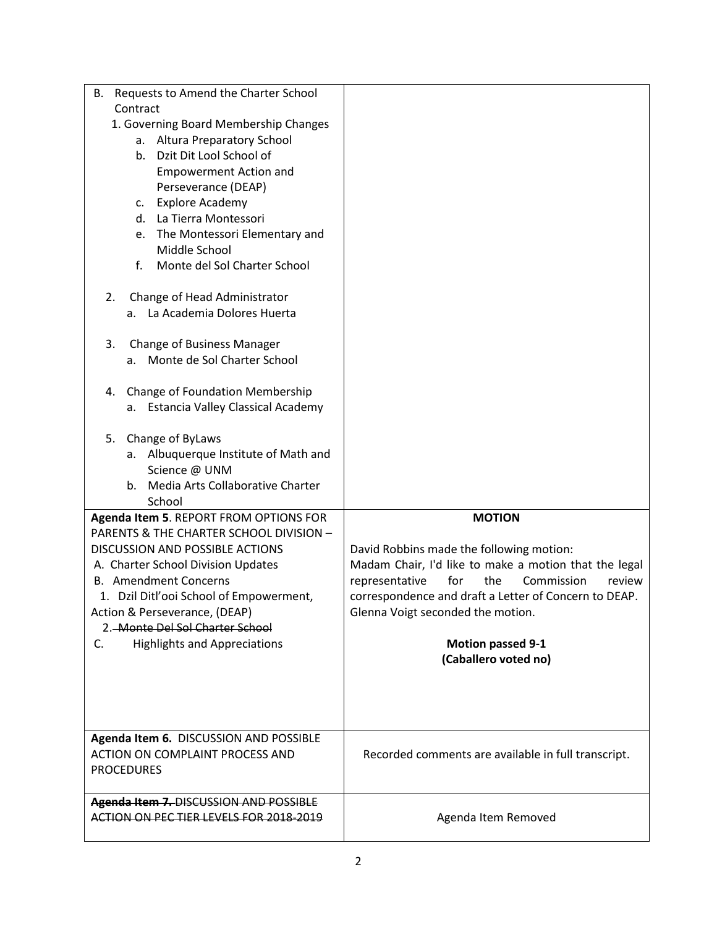| B. Requests to Amend the Charter School<br>Contract<br>1. Governing Board Membership Changes<br>a. Altura Preparatory School<br>b. Dzit Dit Lool School of<br><b>Empowerment Action and</b><br>Perseverance (DEAP)<br><b>Explore Academy</b><br>c.<br>d. La Tierra Montessori<br>e. The Montessori Elementary and<br>Middle School |                                                                                                                                                                                                                                                         |
|------------------------------------------------------------------------------------------------------------------------------------------------------------------------------------------------------------------------------------------------------------------------------------------------------------------------------------|---------------------------------------------------------------------------------------------------------------------------------------------------------------------------------------------------------------------------------------------------------|
| f.<br>Monte del Sol Charter School<br>Change of Head Administrator<br>2.<br>La Academia Dolores Huerta<br>а. –<br>Change of Business Manager<br>3.<br>a. Monte de Sol Charter School                                                                                                                                               |                                                                                                                                                                                                                                                         |
| Change of Foundation Membership<br>4.<br><b>Estancia Valley Classical Academy</b><br>а.<br>Change of ByLaws<br>5.                                                                                                                                                                                                                  |                                                                                                                                                                                                                                                         |
| a. Albuquerque Institute of Math and<br>Science @ UNM<br>Media Arts Collaborative Charter<br>b.<br>School                                                                                                                                                                                                                          | <b>MOTION</b>                                                                                                                                                                                                                                           |
| Agenda Item 5. REPORT FROM OPTIONS FOR<br>PARENTS & THE CHARTER SCHOOL DIVISION -<br>DISCUSSION AND POSSIBLE ACTIONS<br>A. Charter School Division Updates<br><b>B.</b> Amendment Concerns<br>1. Dzil Ditl'ooi School of Empowerment,<br>Action & Perseverance, (DEAP)<br>2. Monte Del Sol Charter School                          | David Robbins made the following motion:<br>Madam Chair, I'd like to make a motion that the legal<br>for<br>the<br>Commission<br>representative<br>review<br>correspondence and draft a Letter of Concern to DEAP.<br>Glenna Voigt seconded the motion. |
| <b>Highlights and Appreciations</b><br>C.                                                                                                                                                                                                                                                                                          | <b>Motion passed 9-1</b><br>(Caballero voted no)                                                                                                                                                                                                        |
| Agenda Item 6. DISCUSSION AND POSSIBLE<br>ACTION ON COMPLAINT PROCESS AND<br><b>PROCEDURES</b>                                                                                                                                                                                                                                     | Recorded comments are available in full transcript.                                                                                                                                                                                                     |
| Agenda Item 7. DISCUSSION AND POSSIBLE<br>ACTION ON PEC TIER LEVELS FOR 2018-2019                                                                                                                                                                                                                                                  | Agenda Item Removed                                                                                                                                                                                                                                     |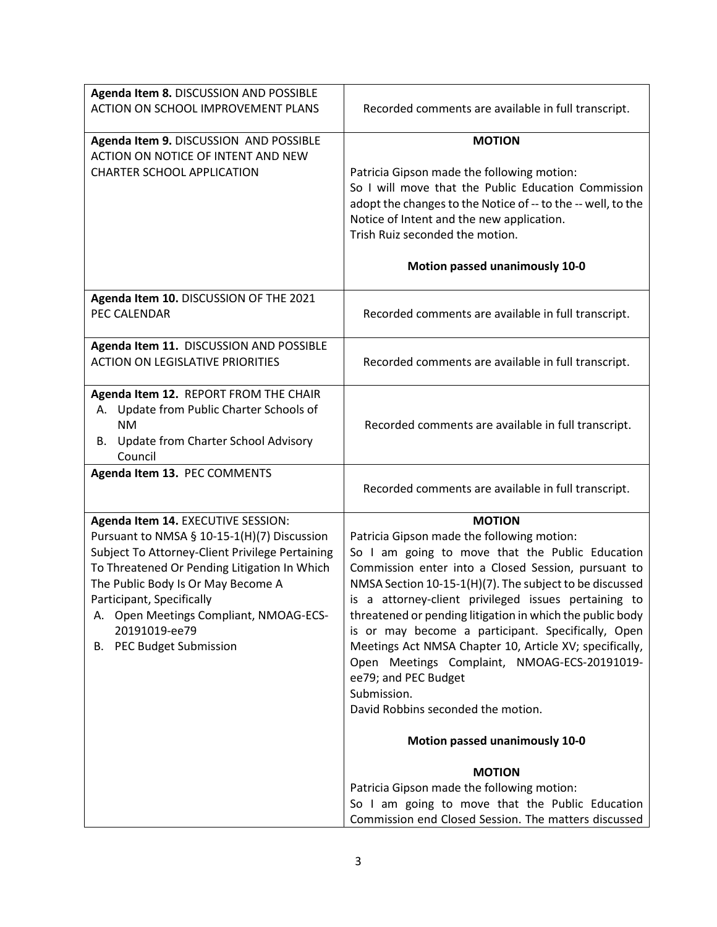| Agenda Item 8. DISCUSSION AND POSSIBLE                                                          |                                                                                                        |
|-------------------------------------------------------------------------------------------------|--------------------------------------------------------------------------------------------------------|
| ACTION ON SCHOOL IMPROVEMENT PLANS                                                              | Recorded comments are available in full transcript.                                                    |
| Agenda Item 9. DISCUSSION AND POSSIBLE                                                          | <b>MOTION</b>                                                                                          |
| ACTION ON NOTICE OF INTENT AND NEW                                                              |                                                                                                        |
| <b>CHARTER SCHOOL APPLICATION</b>                                                               | Patricia Gipson made the following motion:<br>So I will move that the Public Education Commission      |
|                                                                                                 | adopt the changes to the Notice of -- to the -- well, to the                                           |
|                                                                                                 | Notice of Intent and the new application.                                                              |
|                                                                                                 | Trish Ruiz seconded the motion.                                                                        |
|                                                                                                 | Motion passed unanimously 10-0                                                                         |
|                                                                                                 |                                                                                                        |
| Agenda Item 10. DISCUSSION OF THE 2021                                                          |                                                                                                        |
| PEC CALENDAR                                                                                    | Recorded comments are available in full transcript.                                                    |
| Agenda Item 11. DISCUSSION AND POSSIBLE                                                         |                                                                                                        |
| <b>ACTION ON LEGISLATIVE PRIORITIES</b>                                                         | Recorded comments are available in full transcript.                                                    |
|                                                                                                 |                                                                                                        |
| Agenda Item 12. REPORT FROM THE CHAIR<br>Update from Public Charter Schools of<br>А.            |                                                                                                        |
| <b>NM</b>                                                                                       | Recorded comments are available in full transcript.                                                    |
| Update from Charter School Advisory<br>В.                                                       |                                                                                                        |
| Council                                                                                         |                                                                                                        |
| Agenda Item 13. PEC COMMENTS                                                                    |                                                                                                        |
|                                                                                                 | Recorded comments are available in full transcript.                                                    |
| Agenda Item 14. EXECUTIVE SESSION:                                                              | <b>MOTION</b>                                                                                          |
| Pursuant to NMSA § 10-15-1(H)(7) Discussion                                                     | Patricia Gipson made the following motion:                                                             |
| Subject To Attorney-Client Privilege Pertaining<br>To Threatened Or Pending Litigation In Which | So I am going to move that the Public Education<br>Commission enter into a Closed Session, pursuant to |
| The Public Body Is Or May Become A                                                              | NMSA Section 10-15-1(H)(7). The subject to be discussed                                                |
| Participant, Specifically                                                                       | is a attorney-client privileged issues pertaining to                                                   |
| A. Open Meetings Compliant, NMOAG-ECS-                                                          | threatened or pending litigation in which the public body                                              |
| 20191019-ee79                                                                                   | is or may become a participant. Specifically, Open                                                     |
| <b>B.</b> PEC Budget Submission                                                                 | Meetings Act NMSA Chapter 10, Article XV; specifically,                                                |
|                                                                                                 | Open Meetings Complaint, NMOAG-ECS-20191019-<br>ee79; and PEC Budget                                   |
|                                                                                                 | Submission.                                                                                            |
|                                                                                                 | David Robbins seconded the motion.                                                                     |
|                                                                                                 | Motion passed unanimously 10-0                                                                         |
|                                                                                                 | <b>MOTION</b>                                                                                          |
|                                                                                                 | Patricia Gipson made the following motion:                                                             |
|                                                                                                 | So I am going to move that the Public Education                                                        |
|                                                                                                 | Commission end Closed Session. The matters discussed                                                   |